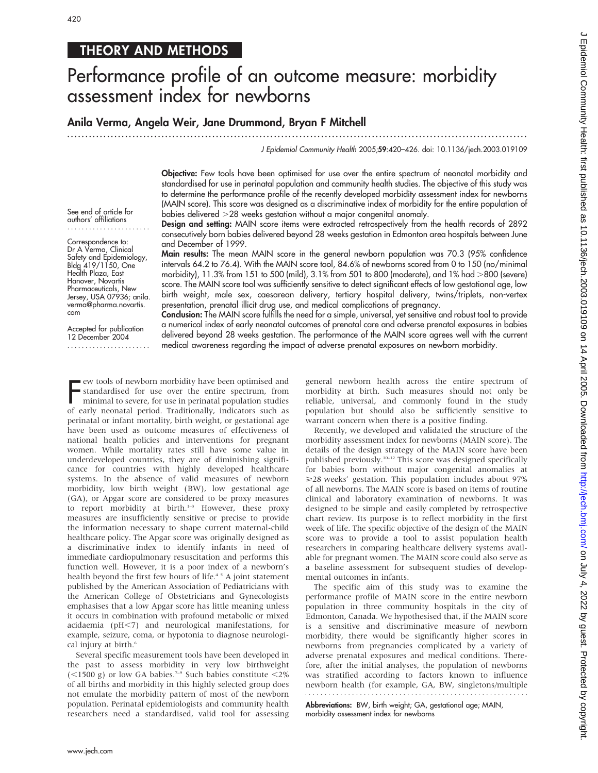## THEORY AND METHODS

# Performance profile of an outcome measure: morbidity assessment index for newborns

## Anila Verma, Angela Weir, Jane Drummond, Bryan F Mitchell

...............................................................................................................................

J Epidemiol Community Health 2005;59:420–426. doi: 10.1136/jech.2003.019109

Objective: Few tools have been optimised for use over the entire spectrum of neonatal morbidity and standardised for use in perinatal population and community health studies. The objective of this study was to determine the performance profile of the recently developed morbidity assessment index for newborns (MAIN score). This score was designed as a discriminative index of morbidity for the entire population of babies delivered >28 weeks gestation without a major congenital anomaly.

See end of article for authors' affiliations .......................

Correspondence to: Dr A Verma, Clinical Safety and Epidemiology, Bldg 419/1150, One Health Plaza, East Hanover, Novartis Pharmaceuticals, New Jersey, USA 07936; anila. verma@pharma.novartis. com

Accepted for publication 12 December 2004 ....................... Design and setting: MAIN score items were extracted retrospectively from the health records of 2892 consecutively born babies delivered beyond 28 weeks gestation in Edmonton area hospitals between June and December of 1999.

Main results: The mean MAIN score in the general newborn population was 70.3 (95% confidence intervals 64.2 to 76.4). With the MAIN score tool, 84.6% of newborns scored from 0 to 150 (no/minimal morbidity), 11.3% from 151 to 500 (mild), 3.1% from 501 to 800 (moderate), and 1% had >800 (severe) score. The MAIN score tool was sufficiently sensitive to detect significant effects of low gestational age, low birth weight, male sex, caesarean delivery, tertiary hospital delivery, twins/triplets, non-vertex presentation, prenatal illicit drug use, and medical complications of pregnancy.

Conclusion: The MAIN score fulfills the need for a simple, universal, yet sensitive and robust tool to provide a numerical index of early neonatal outcomes of prenatal care and adverse prenatal exposures in babies delivered beyond 28 weeks gestation. The performance of the MAIN score agrees well with the current medical awareness regarding the impact of adverse prenatal exposures on newborn morbidity.

Few tools of newborn morbidity have been optimised and standardised for use over the entire spectrum, from minimal to severe, for use in perinatal population studies of early neonatal period. Traditionally, indicators such ew tools of newborn morbidity have been optimised and standardised for use over the entire spectrum, from minimal to severe, for use in perinatal population studies perinatal or infant mortality, birth weight, or gestational age have been used as outcome measures of effectiveness of national health policies and interventions for pregnant women. While mortality rates still have some value in underdeveloped countries, they are of diminishing significance for countries with highly developed healthcare systems. In the absence of valid measures of newborn morbidity, low birth weight (BW), low gestational age (GA), or Apgar score are considered to be proxy measures to report morbidity at birth.<sup>1-3</sup> However, these proxy measures are insufficiently sensitive or precise to provide the information necessary to shape current maternal-child healthcare policy. The Apgar score was originally designed as a discriminative index to identify infants in need of immediate cardiopulmonary resuscitation and performs this function well. However, it is a poor index of a newborn's health beyond the first few hours of life.<sup>45</sup> A joint statement published by the American Association of Pediatricians with the American College of Obstetricians and Gynecologists emphasises that a low Apgar score has little meaning unless it occurs in combination with profound metabolic or mixed acidaemia (pH,7) and neurological manifestations, for example, seizure, coma, or hypotonia to diagnose neurological injury at birth.<sup>6</sup>

Several specific measurement tools have been developed in the past to assess morbidity in very low birthweight (<1500 g) or low GA babies.<sup>7-9</sup> Such babies constitute <2% of all births and morbidity in this highly selected group does not emulate the morbidity pattern of most of the newborn population. Perinatal epidemiologists and community health researchers need a standardised, valid tool for assessing general newborn health across the entire spectrum of morbidity at birth. Such measures should not only be reliable, universal, and commonly found in the study population but should also be sufficiently sensitive to warrant concern when there is a positive finding.

Recently, we developed and validated the structure of the morbidity assessment index for newborns (MAIN score). The details of the design strategy of the MAIN score have been published previously.<sup>10-12</sup> This score was designed specifically for babies born without major congenital anomalies at  $\geq$ 28 weeks' gestation. This population includes about 97% of all newborns. The MAIN score is based on items of routine clinical and laboratory examination of newborns. It was designed to be simple and easily completed by retrospective chart review. Its purpose is to reflect morbidity in the first week of life. The specific objective of the design of the MAIN score was to provide a tool to assist population health researchers in comparing healthcare delivery systems available for pregnant women. The MAIN score could also serve as a baseline assessment for subsequent studies of developmental outcomes in infants.

The specific aim of this study was to examine the performance profile of MAIN score in the entire newborn population in three community hospitals in the city of Edmonton, Canada. We hypothesised that, if the MAIN score is a sensitive and discriminative measure of newborn morbidity, there would be significantly higher scores in newborns from pregnancies complicated by a variety of adverse prenatal exposures and medical conditions. Therefore, after the initial analyses, the population of newborns was stratified according to factors known to influence newborn health (for example, GA, BW, singletons/multiple

Abbreviations: BW, birth weight; GA, gestational age; MAIN, morbidity assessment index for newborns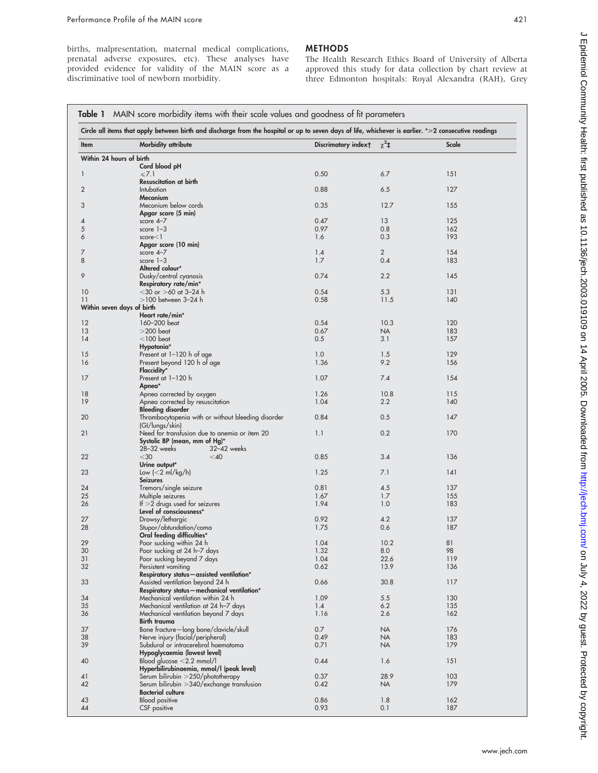births, malpresentation, maternal medical complications, prenatal adverse exposures, etc). These analyses have provided evidence for validity of the MAIN score as a discriminative tool of newborn morbidity.

## METHODS

The Health Research Ethics Board of University of Alberta approved this study for data collection by chart review at three Edmonton hospitals: Royal Alexandra (RAH), Grey

|                            | Circle all items that apply between birth and discharge from the hospital or up to seven days of life, whichever is earlier. *≥2 consecutive readings |                     |                       |            |
|----------------------------|-------------------------------------------------------------------------------------------------------------------------------------------------------|---------------------|-----------------------|------------|
| Item                       | Morbidity attribute                                                                                                                                   | Discrimatory indext | $\chi^2$ <sup>+</sup> | Scale      |
| Within 24 hours of birth   |                                                                                                                                                       |                     |                       |            |
|                            | Cord blood pH                                                                                                                                         |                     |                       |            |
| 1                          | $\leq 7.1$                                                                                                                                            | 0.50                | 6.7                   | 151        |
| 2                          | <b>Resuscitation at birth</b><br>Intubation                                                                                                           | 0.88                | 6.5                   | 127        |
|                            | Meconium                                                                                                                                              |                     |                       |            |
| 3                          | Meconium below cords                                                                                                                                  | 0.35                | 12.7                  | 155        |
|                            | Apgar score (5 min)                                                                                                                                   |                     |                       |            |
| 4                          | score $4-7$                                                                                                                                           | 0.47                | 13                    | 125        |
| 5                          | score $1-3$                                                                                                                                           | 0.97                | 0.8                   | 162        |
| 6                          | score<1                                                                                                                                               | 1.6                 | 0.3                   | 193        |
|                            | Apgar score (10 min)                                                                                                                                  |                     |                       |            |
| 7<br>8                     | score $4-7$<br>score $1-3$                                                                                                                            | 1.4<br>1.7          | $\overline{2}$<br>0.4 | 154<br>183 |
|                            | Altered colour*                                                                                                                                       |                     |                       |            |
| 9                          | Dusky/central cyanosis                                                                                                                                | 0.74                | 2.2                   | 145        |
|                            | Respiratory rate/min*                                                                                                                                 |                     |                       |            |
| 10                         | $<$ 30 or $>$ 60 at 3–24 h                                                                                                                            | 0.54                | 5.3                   | 131        |
| 11                         | $>$ 100 between 3–24 h                                                                                                                                | 0.58                | 11.5                  | 140        |
| Within seven days of birth |                                                                                                                                                       |                     |                       |            |
|                            | Heart rate/min*                                                                                                                                       |                     |                       |            |
| 12                         | 160-200 beat                                                                                                                                          | 0.54                | 10.3                  | 120        |
| 13                         | $>$ 200 beat                                                                                                                                          | 0.67                | <b>NA</b>             | 183        |
| 14                         | $<$ 100 beat<br>Hypotonia*                                                                                                                            | 0.5                 | 3.1                   | 157        |
| 15                         |                                                                                                                                                       | 1.0                 | 1.5                   | 129        |
| 16                         | Present at 1-120 h of age<br>Present beyond 120 h of age                                                                                              | 1.36                | 9.2                   | 156        |
|                            | Flaccidity*                                                                                                                                           |                     |                       |            |
| 17                         | Present at 1-120 h                                                                                                                                    | 1.07                | 7.4                   | 154        |
|                            | Apnea*                                                                                                                                                |                     |                       |            |
| 18                         | Apnea corrected by oxygen                                                                                                                             | 1.26                | 10.8                  | 115        |
| 19                         | Apnea corrected by resuscitation                                                                                                                      | 1.04                | 2.2                   | 140        |
|                            | <b>Bleeding disorder</b>                                                                                                                              |                     |                       |            |
| 20                         | Thrombocytopenia with or without bleeding disorder                                                                                                    | 0.84                | 0.5                   | 147        |
|                            | (GI/lungs/skin)                                                                                                                                       |                     |                       |            |
| 21                         | Need for transfusion due to anemia or item 20                                                                                                         | 1.1                 | 0.2                   | 170        |
|                            | Systolic BP (mean, mm of Hg)*<br>32-42 weeks                                                                                                          |                     |                       |            |
| 22                         | 28-32 weeks<br>$<$ 30<br>$<$ 40                                                                                                                       | 0.85                | 3.4                   | 136        |
|                            | Urine output*                                                                                                                                         |                     |                       |            |
| 23                         | Low $\left( <2 \frac{\text{m}}{\text{kg}/\text{h}} \right)$                                                                                           | 1.25                | 7.1                   | 141        |
|                            | <b>Seizures</b>                                                                                                                                       |                     |                       |            |
| 24                         | Tremors/single seizure                                                                                                                                | 0.81                | 4.5                   | 137        |
| 25                         | Multiple seizures                                                                                                                                     | 1.67                | 1.7                   | 155        |
| 26                         | If $>$ 2 drugs used for seizures                                                                                                                      | 1.94                | 1.0                   | 183        |
|                            | Level of consciousness*                                                                                                                               |                     |                       |            |
| 27                         | Drowsy/lethargic                                                                                                                                      | 0.92                | 4.2                   | 137        |
| 28                         | Stupor/obtundation/coma                                                                                                                               | 1.75                | 0.6                   | 187        |
|                            | Oral feeding difficulties*                                                                                                                            |                     |                       |            |
| 29                         | Poor sucking within 24 h                                                                                                                              | 1.04                | 10.2                  | 81         |
| 30<br>31                   | Poor sucking at 24 h–7 days<br>Poor sucking beyond 7 days                                                                                             | 1.32<br>1.04        | 8.0<br>22.6           | 98<br>119  |
| 32                         | Persistent vomiting                                                                                                                                   | 0.62                | 13.9                  | 136        |
|                            | Respiratory status-assisted ventilation*                                                                                                              |                     |                       |            |
| 33                         | Assisted ventilation beyond 24 h                                                                                                                      | 0.66                | 30.8                  | 117        |
|                            | Respiratory status-mechanical ventilation*                                                                                                            |                     |                       |            |
| 34                         | Mechanical ventilation within 24 h                                                                                                                    | 1.09                | 5.5                   | 130        |
| 35                         | Mechanical ventilation at 24 h-7 days                                                                                                                 | 1.4                 | 6.2                   | 135        |
| 36                         | Mechanical ventilation beyond 7 days                                                                                                                  | 1.16                | 2.6                   | 162        |
|                            | Birth trauma                                                                                                                                          |                     |                       |            |
| 37                         | Bone fracture-long bone/clavicle/skull                                                                                                                | 0.7                 | <b>NA</b>             | 176        |
| 38                         | Nerve injury (facial/peripheral)                                                                                                                      | 0.49                | <b>NA</b>             | 183        |
| 39                         | Subdural or intracerebral haematoma                                                                                                                   | 0.71                | <b>NA</b>             | 179        |
|                            | Hypoglycaemia (lowest level)                                                                                                                          |                     |                       |            |
| 40                         | Blood glucose $\leq$ 2.2 mmol/l                                                                                                                       | 0.44                | 1.6                   | 151        |
|                            | Hyperbilirubinaemia, mmol/l (peak level)                                                                                                              | 0.37                | 28.9                  | 103        |
| 41<br>42                   | Serum bilirubin $>$ 250/phototherapy<br>Serum bilirubin $>$ 340/exchange transfusion                                                                  | 0.42                | <b>NA</b>             | 179        |
|                            |                                                                                                                                                       |                     |                       |            |
|                            |                                                                                                                                                       |                     |                       |            |
| 43                         | <b>Bacterial culture</b><br><b>Blood</b> positive                                                                                                     | 0.86                | 1.8                   | 162        |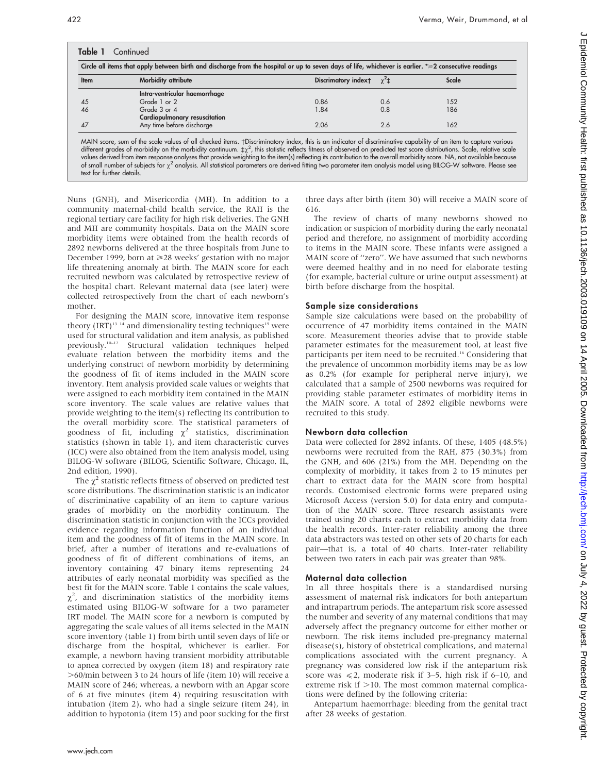| Circle all items that apply between birth and discharge from the hospital or up to seven days of life, whichever is earlier. $\approx$ 2 consecutive readings |                                      |                                          |     |       |
|---------------------------------------------------------------------------------------------------------------------------------------------------------------|--------------------------------------|------------------------------------------|-----|-------|
| <b>Item</b>                                                                                                                                                   | Morbidity attribute                  | Discrimatory index $\gamma^2$ $\uparrow$ |     | Scale |
|                                                                                                                                                               | Intra-ventricular haemorrhage        |                                          |     |       |
| 45                                                                                                                                                            | Grade 1 or 2                         | 0.86                                     | 0.6 | 152   |
| 46                                                                                                                                                            | Grade 3 or 4                         | 1.84                                     | 0.8 | 186   |
|                                                                                                                                                               | <b>Cardiopulmonary resuscitation</b> |                                          |     |       |
| 47                                                                                                                                                            | Any time before discharge            | 2.06                                     | 2.6 | 162   |

different grades of morbidity on the morbidity continuum.  $\ddagger \chi^2$ , this statistic reflects fitness of observed on predicted test score distributions. Scale, relative scale values derived from item response analyses that provide weighting to the item(s) reflecting its contribution to the overall morbidity score. NA, not available because of small number of subjects for  $\chi^2$  analysis. All statistical parameters are derived fitting two parameter item analysis model using BILOG-W software. Please see text for further details.

Nuns (GNH), and Misericordia (MH). In addition to a community maternal-child health service, the RAH is the regional tertiary care facility for high risk deliveries. The GNH and MH are community hospitals. Data on the MAIN score morbidity items were obtained from the health records of 2892 newborns delivered at the three hospitals from June to December 1999, born at  $\geq$  28 weeks' gestation with no major life threatening anomaly at birth. The MAIN score for each recruited newborn was calculated by retrospective review of the hospital chart. Relevant maternal data (see later) were collected retrospectively from the chart of each newborn's mother.

For designing the MAIN score, innovative item response theory  $(IRT)^{13}$ <sup>14</sup> and dimensionality testing techniques<sup>15</sup> were used for structural validation and item analysis, as published previously.10–12 Structural validation techniques helped evaluate relation between the morbidity items and the underlying construct of newborn morbidity by determining the goodness of fit of items included in the MAIN score inventory. Item analysis provided scale values or weights that were assigned to each morbidity item contained in the MAIN score inventory. The scale values are relative values that provide weighting to the item(s) reflecting its contribution to the overall morbidity score. The statistical parameters of goodness of fit, including  $\chi^2$  statistics, discrimination statistics (shown in table 1), and item characteristic curves (ICC) were also obtained from the item analysis model, using BILOG-W software (BILOG, Scientific Software, Chicago, IL, 2nd edition, 1990).

The  $\chi^2$  statistic reflects fitness of observed on predicted test score distributions. The discrimination statistic is an indicator of discriminative capability of an item to capture various grades of morbidity on the morbidity continuum. The discrimination statistic in conjunction with the ICCs provided evidence regarding information function of an individual item and the goodness of fit of items in the MAIN score. In brief, after a number of iterations and re-evaluations of goodness of fit of different combinations of items, an inventory containing 47 binary items representing 24 attributes of early neonatal morbidity was specified as the best fit for the MAIN score. Table 1 contains the scale values,  $\chi^2$ , and discrimination statistics of the morbidity items estimated using BILOG-W software for a two parameter IRT model. The MAIN score for a newborn is computed by aggregating the scale values of all items selected in the MAIN score inventory (table 1) from birth until seven days of life or discharge from the hospital, whichever is earlier. For example, a newborn having transient morbidity attributable to apnea corrected by oxygen (item 18) and respiratory rate .60/min between 3 to 24 hours of life (item 10) will receive a MAIN score of 246; whereas, a newborn with an Apgar score of 6 at five minutes (item 4) requiring resuscitation with intubation (item 2), who had a single seizure (item 24), in addition to hypotonia (item 15) and poor sucking for the first three days after birth (item 30) will receive a MAIN score of 616.

The review of charts of many newborns showed no indication or suspicion of morbidity during the early neonatal period and therefore, no assignment of morbidity according to items in the MAIN score. These infants were assigned a MAIN score of ''zero''. We have assumed that such newborns were deemed healthy and in no need for elaborate testing (for example, bacterial culture or urine output assessment) at birth before discharge from the hospital.

## Sample size considerations

Sample size calculations were based on the probability of occurrence of 47 morbidity items contained in the MAIN score. Measurement theories advise that to provide stable parameter estimates for the measurement tool, at least five participants per item need to be recruited.<sup>16</sup> Considering that the prevalence of uncommon morbidity items may be as low as 0.2% (for example for peripheral nerve injury), we calculated that a sample of 2500 newborns was required for providing stable parameter estimates of morbidity items in the MAIN score. A total of 2892 eligible newborns were recruited to this study.

#### Newborn data collection

Data were collected for 2892 infants. Of these, 1405 (48.5%) newborns were recruited from the RAH, 875 (30.3%) from the GNH, and 606 (21%) from the MH. Depending on the complexity of morbidity, it takes from 2 to 15 minutes per chart to extract data for the MAIN score from hospital records. Customised electronic forms were prepared using Microsoft Access (version 5.0) for data entry and computation of the MAIN score. Three research assistants were trained using 20 charts each to extract morbidity data from the health records. Inter-rater reliability among the three data abstractors was tested on other sets of 20 charts for each pair—that is, a total of 40 charts. Inter-rater reliability between two raters in each pair was greater than 98%.

#### Maternal data collection

In all three hospitals there is a standardised nursing assessment of maternal risk indicators for both antepartum and intrapartrum periods. The antepartum risk score assessed the number and severity of any maternal conditions that may adversely affect the pregnancy outcome for either mother or newborn. The risk items included pre-pregnancy maternal disease(s), history of obstetrical complications, and maternal complications associated with the current pregnancy. A pregnancy was considered low risk if the antepartum risk score was  $\leq 2$ , moderate risk if 3–5, high risk if 6–10, and extreme risk if  $>$ 10. The most common maternal complications were defined by the following criteria:

Antepartum haemorrhage: bleeding from the genital tract after 28 weeks of gestation.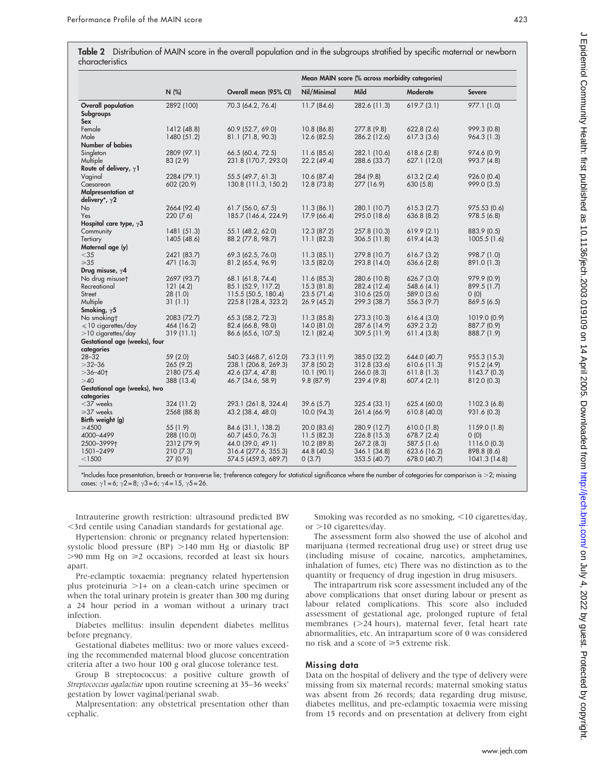Table 2 Distribution of MAIN score in the overall population and in the subgroups stratified by specific maternal or newborn characteristics

|                                 |             |                       |               | Mean MAIN score (% across morbidity categories) |              |               |
|---------------------------------|-------------|-----------------------|---------------|-------------------------------------------------|--------------|---------------|
|                                 | N (%)       | Overall mean (95% CI) | Nil/Minimal   | Mild                                            | Moderate     | <b>Severe</b> |
| Overall population              | 2892 (100)  | 70.3 (64.2, 76.4)     | 11.7(84.6)    | 282.6 (11.3)                                    | 619.7(3.1)   | 977.1 (1.0)   |
| Subgroups                       |             |                       |               |                                                 |              |               |
| Sex                             |             |                       |               |                                                 |              |               |
| Female                          | 1412 (48.8) | 60.9 (52.7, 69.0)     | 10.8 (86.8)   | 277.8 (9.8)                                     | 622.8(2.6)   | 999.3 (0.8)   |
| Male                            | 1480 (51.2) | 81.1 (71.8, 90.3)     | 12.6(82.5)    | 286.2 (12.6)                                    | 617.3(3.6)   | 964.3(1.3)    |
| Number of babies                |             |                       |               |                                                 |              |               |
| Singleton                       | 2809 (97.1) | 66.5 (60.4, 72.5)     | 11.6(85.6)    | 282.1 (10.6)                                    | 618.6(2.8)   | 974.6 (0.9)   |
| Multiple                        | 83 (2.9)    | 231.8 (170.7, 293.0)  | 22.2(49.4)    | 288.6 (33.7)                                    | 627.1 (12.0) | 993.7 (4.8)   |
| Route of delivery, $\gamma$ 1   |             |                       |               |                                                 |              |               |
| Vaginal                         | 2284 (79.1) | 55.5 (49.7, 61.3)     | 10.6(87.4)    | 284 (9.8)                                       | 613.2(2.4)   | 926.0(0.4)    |
| Caesarean                       | 602 (20.9)  | 130.8 (111.3, 150.2)  | 12.8 (73.8)   | 277 (16.9)                                      | 630(5.8)     | 999.0 (3.5)   |
| Malpresentation at              |             |                       |               |                                                 |              |               |
| delivery*, $\gamma$ 2           |             |                       |               |                                                 |              |               |
| No.                             | 2664 (92.4) | 61.7 (56.0, 67.5)     | 11.3(86.1)    | 280.1 (10.7)                                    | 615.3(2.7)   | 975.53 (0.6)  |
| Yes                             | 220(7.6)    | 185.7 (146.4, 224.9)  | 17.9(66.4)    | 295.0 (18.6)                                    | 636.8 (8.2)  | 978.5 (6.8)   |
| Hospital care type, $\gamma$ 3  |             |                       |               |                                                 |              |               |
| Community                       | 1481(51.3)  | 55.1 (48.2, 62.0)     | 12.3(87.2)    | 257.8 (10.3)                                    | 619.9(2.1)   | 883.9 (0.5)   |
| Tertiary                        | 1405 (48.6) | 88.2 (77.8, 98.7)     | 11.1(82.3)    | 306.5 (11.8)                                    | 619.4(4.3)   | 1005.5(1.6)   |
| Maternal age (y)                |             |                       |               |                                                 |              |               |
| $<$ 35                          | 2421 (83.7) | 69.3 (62.5, 76.0)     | 11.3(85.1)    | 279.8 (10.7)                                    | 616.7(3.2)   | 998.7 (1.0)   |
| $\geq 35$                       | 471 (16.3)  | 81.2 (65.4, 96.9)     | 13.5 (82.0)   | 293.8 (14.0)                                    | 636.6(2.8)   | 891.0 (1.3)   |
| Drug misuse, $\gamma$ 4         |             |                       |               |                                                 |              |               |
| No drug misuset                 | 2697 (93.7) | 68.1 (61.8, 74.4)     | 11.6 (85.3)   | 280.6 (10.8)                                    | 626.7(3.0)   | 979.9 (0.9)   |
| Recreational                    | 121(4.2)    | 85.1 (52.9, 117.2)    | 15.3 (81.8)   | 282.4 (12.4)                                    | 548.6 (4.1)  | 899.5 (1.7)   |
| Street                          | 28(1.0)     | 115.5 (50.5, 180.4)   | 23.5(71.4)    | 310.6 (25.0)                                    | 589.0 (3.6)  | 0(0)          |
| Multiple                        | 31(1.1)     | 225.8 (128.4, 323.2)  | 26.9 (45.2)   | 299.3 (38.7)                                    | 556.3 (9.7)  | 869.5 (6.5)   |
| Smoking, $\gamma$ 5             |             |                       |               |                                                 |              |               |
| No smokingt                     | 2083 (72.7) | 65.3 (58.2, 72.3)     | 11.3(85.8)    | 273.3 (10.3)                                    | 616.4(3.0)   | 1019.0 (0.9)  |
| $\leqslant$ 10 cigarettes/day   | 464 (16.2)  | 82.4 (66.8, 98.0)     | 14.0(81.0)    | 287.6 (14.9)                                    | 639.23.2     | 887.7 (0.9)   |
| $>$ 10 cigarettes/day           | 319(11.1)   | 86.6 (65.6, 107.5)    | 12.1(82.4)    | 309.5 (11.9)                                    | 611.4(3.8)   | 888.7 (1.9)   |
| Gestational age (weeks), four   |             |                       |               |                                                 |              |               |
| categories                      |             |                       |               |                                                 |              |               |
| $28 - 32$                       | 59 (2.0)    | 540.3 (468.7, 612.0)  | 73.3 (11.9)   | 385.0 (32.2)                                    | 644.0 (40.7) | 955.3 (15.3)  |
| $>32-36$                        | 265(9.2)    | 238.1 (206.8, 269.3)  | 37.8 (50.2)   | 312.8 (33.6)                                    | 610.6 (11.3) | 915.2(4.9)    |
| $>36 - 40$ t                    | 2180 (75.4) | 42.6 (37.4, 47.8)     | 10.1(90.1)    | 266.0(8.3)                                      | 611.8(1.3)   | 1143.7(0.3)   |
| >40                             | 388 (13.4)  | 46.7 (34.6, 58.9)     | 9.8(87.9)     | 239.4 (9.8)                                     | 607.4(2.1)   | 812.0 (0.3)   |
| Gestational age (weeks), two    |             |                       |               |                                                 |              |               |
| categories                      |             |                       |               |                                                 |              |               |
| $<$ 37 weeks<br>$\geq$ 37 weeks | 324 (11.2)  | 293.1 (261.8, 324.4)  | 39.6 (5.7)    | 325.4 (33.1)                                    | 625.4 (60.0) | 1102.3(6.8)   |
|                                 | 2568 (88.8) | 43.2 (38.4, 48.0)     | $10.0$ (94.3) | 261.4 (66.9)                                    | 610.8 (40.0) | 931.6 (0.3)   |
| Birth weight (g)                |             |                       |               |                                                 |              |               |
| ≥4500                           | 55 (1.9)    | 84.6 (31.1, 138.2)    | 20.0 (83.6)   | 280.9 (12.7)                                    | 610.0(1.8)   | 1159.0 (1.8)  |
| 4000-4499                       | 288 (10.0)  | 60.7 (45.0, 76.3)     | 11.5(82.3)    | 226.8 (15.3)                                    | 678.7(2.4)   | 0(0)          |
| 2500-3999+                      | 2312 (79.9) | 44.0 (39.0, 49.1)     | 10.2(89.8)    | 267.2(8.3)                                      | 587.5 (1.6)  | 1116.0(0.3)   |
| 1501-2499<br>$<$ 1500           | 210(7.3)    | 316.4 (277.6, 355.3)  | 44.8 (40.5)   | 346.1 (34.8)                                    | 623.6 (16.2) | 898.8 (8.6)   |
|                                 | 27(0.9)     | 574.5 (459.3, 689.7)  | 0(3.7)        | 353.5 (40.7)                                    | 678.0 (40.7) | 1041.3 (14.8) |

\*Includes face presentation, breech or transverse lie; reference category for statistical significance where the number of categories for comparison is .2; missing cases:  $\gamma$ 1 = 6;  $\gamma$ 2 = 8;  $\gamma$ 3 = 6;  $\gamma$ 4 = 15,  $\gamma$ 5 = 26.

Intrauterine growth restriction: ultrasound predicted BW ,3rd centile using Canadian standards for gestational age.

Hypertension: chronic or pregnancy related hypertension: systolic blood pressure (BP)  $>140$  mm Hg or diastolic BP  $>90$  mm Hg on  $\geq 2$  occasions, recorded at least six hours apart.

Pre-eclamptic toxaemia: pregnancy related hypertension plus proteinuria  $>1+$  on a clean-catch urine specimen or when the total urinary protein is greater than 300 mg during a 24 hour period in a woman without a urinary tract infection.

Diabetes mellitus: insulin dependent diabetes mellitus before pregnancy.

Gestational diabetes mellitus: two or more values exceeding the recommended maternal blood glucose concentration criteria after a two hour 100 g oral glucose tolerance test.

Group B streptococcus: a positive culture growth of Streptococcus agalactiae upon routine screening at 35–36 weeks' gestation by lower vaginal/perianal swab.

Malpresentation: any obstetrical presentation other than cephalic.

Smoking was recorded as no smoking,  $\leq 10$  cigarettes/day, or  $>$ 10 cigarettes/day.

The assessment form also showed the use of alcohol and marijuana (termed recreational drug use) or street drug use (including misuse of cocaine, narcotics, amphetamines, inhalation of fumes, etc) There was no distinction as to the quantity or frequency of drug ingestion in drug misusers.

The intrapartrum risk score assessment included any of the above complications that onset during labour or present as labour related complications. This score also included assessment of gestational age, prolonged rupture of fetal membranes  $(>24$  hours), maternal fever, fetal heart rate abnormalities, etc. An intrapartum score of 0 was considered no risk and a score of  $\geq 5$  extreme risk.

#### Missing data

Data on the hospital of delivery and the type of delivery were missing from six maternal records; maternal smoking status was absent from 26 records; data regarding drug misuse, diabetes mellitus, and pre-eclamptic toxaemia were missing from 15 records and on presentation at delivery from eight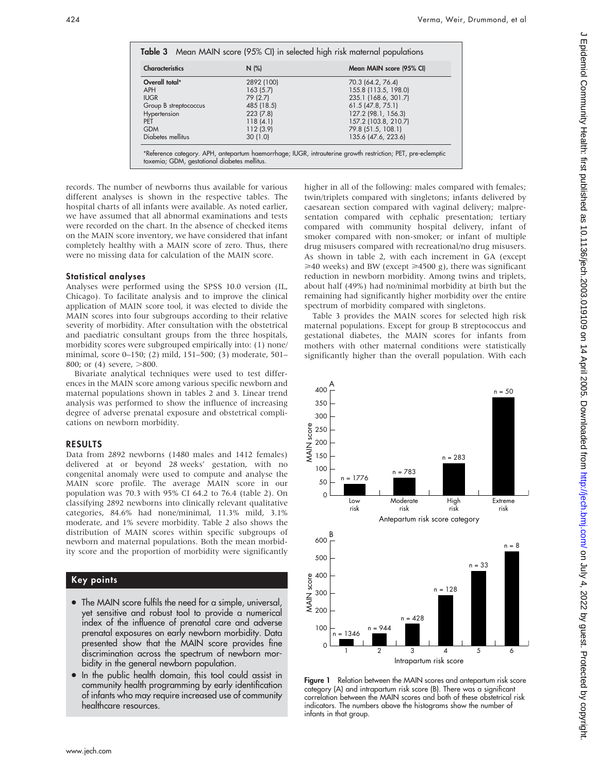| <b>Characteristics</b> | $N$ (%)    | Mean MAIN score (95% CI) |
|------------------------|------------|--------------------------|
| Overall total*         | 2892 (100) | 70.3 (64.2, 76.4)        |
| <b>APH</b>             | 163(5.7)   | 155.8 (113.5, 198.0)     |
| <b>IUGR</b>            | 79 (2.7)   | 235.1 (168.6, 301.7)     |
| Group B streptococcus  | 485 (18.5) | $61.5$ (47.8, 75.1)      |
| Hypertension           | 223(7.8)   | 127.2 (98.1, 156.3)      |
| <b>PFT</b>             | 118(4.1)   | 157.2 (103.8, 210.7)     |
| <b>GDM</b>             | 112(3.9)   | 79.8 (51.5, 108.1)       |
| Diabetes mellitus      | 30(1.0)    | 135.6 (47.6, 223.6)      |

records. The number of newborns thus available for various different analyses is shown in the respective tables. The hospital charts of all infants were available. As noted earlier, we have assumed that all abnormal examinations and tests were recorded on the chart. In the absence of checked items on the MAIN score inventory, we have considered that infant completely healthy with a MAIN score of zero. Thus, there were no missing data for calculation of the MAIN score.

#### Statistical analyses

Analyses were performed using the SPSS 10.0 version (IL, Chicago). To facilitate analysis and to improve the clinical application of MAIN score tool, it was elected to divide the MAIN scores into four subgroups according to their relative severity of morbidity. After consultation with the obstetrical and paediatric consultant groups from the three hospitals, morbidity scores were subgrouped empirically into: (1) none/ minimal, score 0–150; (2) mild, 151–500; (3) moderate, 501– 800; or  $(4)$  severe,  $>800$ .

Bivariate analytical techniques were used to test differences in the MAIN score among various specific newborn and maternal populations shown in tables 2 and 3. Linear trend analysis was performed to show the influence of increasing degree of adverse prenatal exposure and obstetrical complications on newborn morbidity.

#### RESULTS

Data from 2892 newborns (1480 males and 1412 females) delivered at or beyond 28 weeks' gestation, with no congenital anomaly were used to compute and analyse the MAIN score profile. The average MAIN score in our population was 70.3 with 95% CI 64.2 to 76.4 (table 2). On classifying 2892 newborns into clinically relevant qualitative categories, 84.6% had none/minimal, 11.3% mild, 3.1% moderate, and 1% severe morbidity. Table 2 also shows the distribution of MAIN scores within specific subgroups of newborn and maternal populations. Both the mean morbidity score and the proportion of morbidity were significantly

## Key points

- The MAIN score fulfils the need for a simple, universal, yet sensitive and robust tool to provide a numerical index of the influence of prenatal care and adverse prenatal exposures on early newborn morbidity. Data presented show that the MAIN score provides fine discrimination across the spectrum of newborn morbidity in the general newborn population.
- N In the public health domain, this tool could assist in community health programming by early identification of infants who may require increased use of community healthcare resources.

higher in all of the following: males compared with females; twin/triplets compared with singletons; infants delivered by caesarean section compared with vaginal delivery; malpresentation compared with cephalic presentation; tertiary compared with community hospital delivery, infant of smoker compared with non-smoker; or infant of multiple drug misusers compared with recreational/no drug misusers. As shown in table 2, with each increment in GA (except  $\geq 40$  weeks) and BW (except  $\geq 4500$  g), there was significant reduction in newborn morbidity. Among twins and triplets, about half (49%) had no/minimal morbidity at birth but the remaining had significantly higher morbidity over the entire spectrum of morbidity compared with singletons.

Table 3 provides the MAIN scores for selected high risk maternal populations. Except for group B streptococcus and gestational diabetes, the MAIN scores for infants from mothers with other maternal conditions were statistically significantly higher than the overall population. With each



Figure 1 Relation between the MAIN scores and antepartum risk score category (A) and intrapartum risk score (B). There was a significant correlation between the MAIN scores and both of these obstetrical risk indicators. The numbers above the histograms show the number of infants in that group.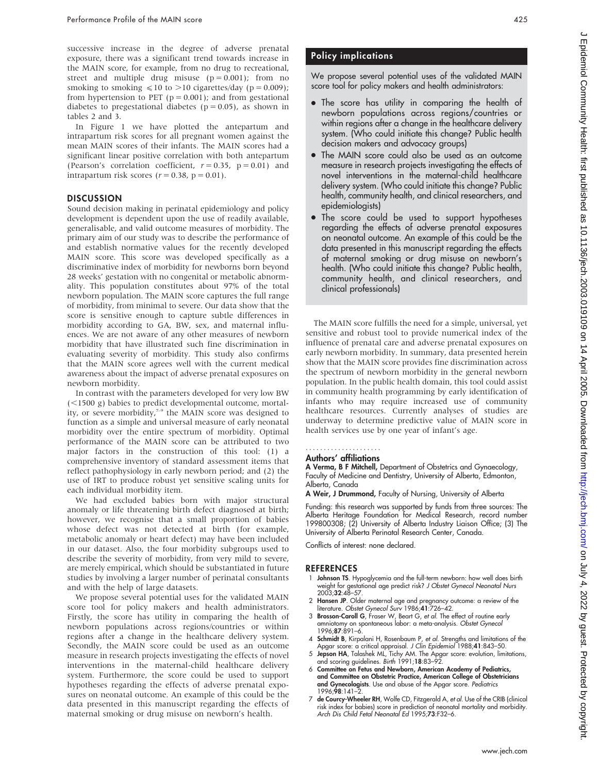successive increase in the degree of adverse prenatal exposure, there was a significant trend towards increase in the MAIN score, for example, from no drug to recreational, street and multiple drug misuse  $(p = 0.001)$ ; from no smoking to smoking  $\leq 10$  to  $>10$  cigarettes/day (p = 0.009); from hypertension to PET ( $p = 0.001$ ); and from gestational diabetes to pregestational diabetes ( $p = 0.05$ ), as shown in tables 2 and 3.

In Figure 1 we have plotted the antepartum and intrapartum risk scores for all pregnant women against the mean MAIN scores of their infants. The MAIN scores had a significant linear positive correlation with both antepartum (Pearson's correlation coefficient,  $r = 0.35$ ,  $p = 0.01$ ) and intrapartum risk scores ( $r = 0.38$ ,  $p = 0.01$ ).

### **DISCUSSION**

Sound decision making in perinatal epidemiology and policy development is dependent upon the use of readily available, generalisable, and valid outcome measures of morbidity. The primary aim of our study was to describe the performance of and establish normative values for the recently developed MAIN score. This score was developed specifically as a discriminative index of morbidity for newborns born beyond 28 weeks' gestation with no congenital or metabolic abnormality. This population constitutes about 97% of the total newborn population. The MAIN score captures the full range of morbidity, from minimal to severe. Our data show that the score is sensitive enough to capture subtle differences in morbidity according to GA, BW, sex, and maternal influences. We are not aware of any other measures of newborn morbidity that have illustrated such fine discrimination in evaluating severity of morbidity. This study also confirms that the MAIN score agrees well with the current medical awareness about the impact of adverse prenatal exposures on newborn morbidity.

In contrast with the parameters developed for very low BW  $(<$ 1500 g) babies to predict developmental outcome, mortality, or severe morbidity,<sup>7-9</sup> the MAIN score was designed to function as a simple and universal measure of early neonatal morbidity over the entire spectrum of morbidity. Optimal performance of the MAIN score can be attributed to two major factors in the construction of this tool: (1) a comprehensive inventory of standard assessment items that reflect pathophysiology in early newborn period; and (2) the use of IRT to produce robust yet sensitive scaling units for each individual morbidity item.

We had excluded babies born with major structural anomaly or life threatening birth defect diagnosed at birth; however, we recognise that a small proportion of babies whose defect was not detected at birth (for example, metabolic anomaly or heart defect) may have been included in our dataset. Also, the four morbidity subgroups used to describe the severity of morbidity, from very mild to severe, are merely empirical, which should be substantiated in future studies by involving a larger number of perinatal consultants and with the help of large datasets.

We propose several potential uses for the validated MAIN score tool for policy makers and health administrators. Firstly, the score has utility in comparing the health of newborn populations across regions/countries or within regions after a change in the healthcare delivery system. Secondly, the MAIN score could be used as an outcome measure in research projects investigating the effects of novel interventions in the maternal-child healthcare delivery system. Furthermore, the score could be used to support hypotheses regarding the effects of adverse prenatal exposures on neonatal outcome. An example of this could be the data presented in this manuscript regarding the effects of maternal smoking or drug misuse on newborn's health.

## Policy implications

We propose several potential uses of the validated MAIN score tool for policy makers and health administrators:

- The score has utility in comparing the health of newborn populations across regions/countries or within regions after a change in the healthcare delivery system. (Who could initiate this change? Public health decision makers and advocacy groups)
- The MAIN score could also be used as an outcome measure in research projects investigating the effects of novel interventions in the maternal-child healthcare delivery system. (Who could initiate this change? Public health, community health, and clinical researchers, and epidemiologists)
- The score could be used to support hypotheses regarding the effects of adverse prenatal exposures on neonatal outcome. An example of this could be the data presented in this manuscript regarding the effects of maternal smoking or drug misuse on newborn's health. (Who could initiate this change? Public health, community health, and clinical researchers, and clinical professionals)

The MAIN score fulfills the need for a simple, universal, yet sensitive and robust tool to provide numerical index of the influence of prenatal care and adverse prenatal exposures on early newborn morbidity. In summary, data presented herein show that the MAIN score provides fine discrimination across the spectrum of newborn morbidity in the general newborn population. In the public health domain, this tool could assist in community health programming by early identification of infants who may require increased use of community healthcare resources. Currently analyses of studies are underway to determine predictive value of MAIN score in health services use by one year of infant's age.

#### Authors' affiliations .....................

A Verma, B F Mitchell, Department of Obstetrics and Gynaecology, Faculty of Medicine and Dentistry, University of Alberta, Edmonton, Alberta, Canada

A Weir, J Drummond, Faculty of Nursing, University of Alberta

Funding: this research was supported by funds from three sources: The Alberta Heritage Foundation for Medical Research, record number 199800308; (2) University of Alberta Industry Liaison Office; (3) The University of Alberta Perinatal Research Center, Canada.

Conflicts of interest: none declared.

#### **REFERENCES**

- 1 Johnson TS. Hypoglycemia and the full-term newborn: how well does birth weight for gestational age predict risk? J Obstet Gynecol Neonatal Nurs 2003;32:48–57.
- 2 Hansen JP. Older maternal age and pregnancy outcome: a review of the literature. Obstet Gynecol Surv 1986;41:726–42.
- 3 Brosson-Caroll G, Fraser W, Beart G, et al. The effect of routine early amniotomy on spontaneous labor: a meta-analysis. Obstet Gynecol 1996;87:891–6.
- 4 Schmidt B, Kirpalani H, Rosenbaum P, et al. Strengths and limitations of the Apgar score: a critical appraisal. J Clin Epidemiol 1988;41:843-50.
- 5 Jepson HA, Talashek ML, Tichy AM. The Apgar score: evolution, limitations, and scoring guidelines. Birth 1991;18:83–92.
- 6 Committee on Fetus and Newborn, American Academy of Pediatrics, and Committee on Obstetric Practice, American College of Obstetricians and Gynecologists. Use and abuse of the Apgar score. Pediatrics 1996;98:141–2.
- 7 de Courcy-Wheeler RH, Wolfe CD, Fitzgerald A, et al. Use of the CRIB (clinical risk index for babies) score in prediction of neonatal mortality and morbidity. Arch Dis Child Fetal Neonatal Ed 1995;73:F32–6.